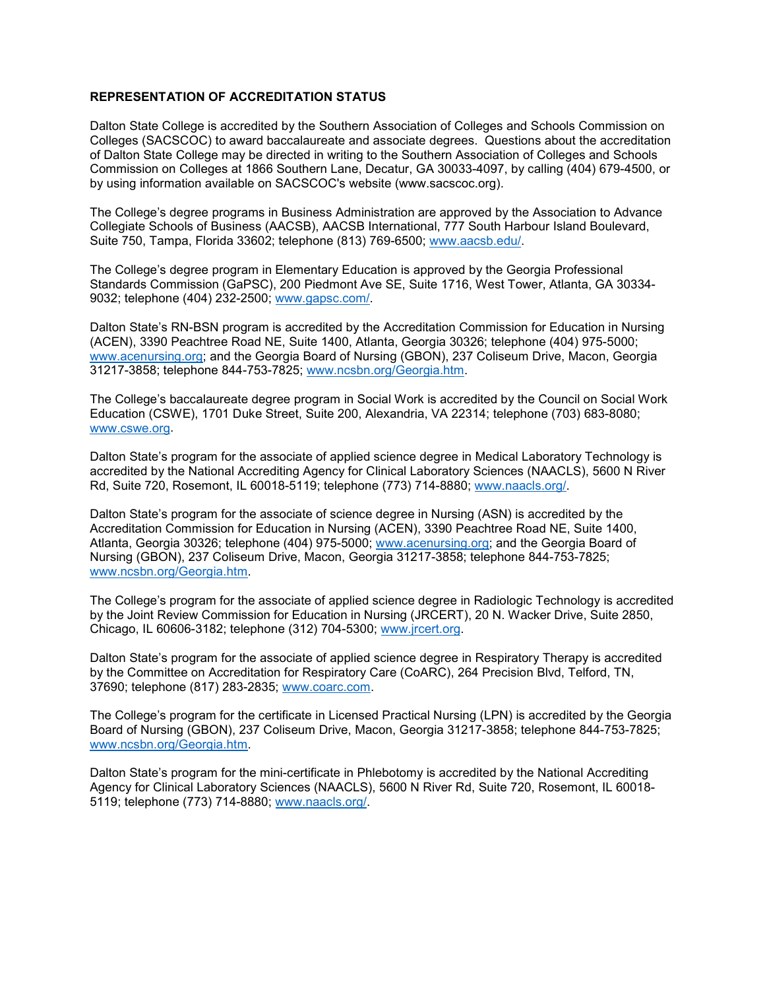## **REPRESENTATION OF ACCREDITATION STATUS**

Dalton State College is accredited by the Southern Association of Colleges and Schools Commission on Colleges (SACSCOC) to award baccalaureate and associate degrees. Questions about the accreditation of Dalton State College may be directed in writing to the Southern Association of Colleges and Schools Commission on Colleges at 1866 Southern Lane, Decatur, GA 30033-4097, by calling (404) 679-4500, or by using information available on SACSCOC's website (www.sacscoc.org).

The College's degree programs in Business Administration are approved by the Association to Advance Collegiate Schools of Business (AACSB), AACSB International, 777 South Harbour Island Boulevard, Suite 750, Tampa, Florida 33602; telephone (813) 769-6500; [www.aacsb.edu/.](http://www.aacsb.edu/)

The College's degree program in Elementary Education is approved by the Georgia Professional Standards Commission (GaPSC), 200 Piedmont Ave SE, Suite 1716, West Tower, Atlanta, GA 30334- 9032; telephone (404) 232-2500; [www.gapsc.com/.](http://www.gapsc.com/)

Dalton State's RN-BSN program is accredited by the Accreditation Commission for Education in Nursing (ACEN), 3390 Peachtree Road NE, Suite 1400, Atlanta, Georgia 30326; telephone (404) 975-5000; [www.acenursing.org;](http://www.acenursing.org/) and the Georgia Board of Nursing (GBON), 237 Coliseum Drive, Macon, Georgia 31217-3858; telephone 844-753-7825; [www.ncsbn.org/Georgia.htm.](http://www.ncsbn.org/Georgia.htm)

The College's baccalaureate degree program in Social Work is accredited by the Council on Social Work Education (CSWE), 1701 Duke Street, Suite 200, Alexandria, VA 22314; telephone (703) 683-8080; [www.cswe.org.](http://www.cswe.org/)

Dalton State's program for the associate of applied science degree in Medical Laboratory Technology is accredited by the National Accrediting Agency for Clinical Laboratory Sciences (NAACLS), 5600 N River Rd, Suite 720, Rosemont, IL 60018-5119; telephone (773) 714-8880; [www.naacls.org/.](http://www.naacls.org/)

Dalton State's program for the associate of science degree in Nursing (ASN) is accredited by the Accreditation Commission for Education in Nursing (ACEN), 3390 Peachtree Road NE, Suite 1400, Atlanta, Georgia 30326; telephone (404) 975-5000; [www.acenursing.org;](http://www.acenursing.org/) and the Georgia Board of Nursing (GBON), 237 Coliseum Drive, Macon, Georgia 31217-3858; telephone 844-753-7825; [www.ncsbn.org/Georgia.htm.](http://www.ncsbn.org/Georgia.htm)

The College's program for the associate of applied science degree in Radiologic Technology is accredited by the Joint Review Commission for Education in Nursing (JRCERT), 20 N. Wacker Drive, Suite 2850, Chicago, IL 60606-3182; telephone (312) 704-5300; [www.jrcert.org.](http://www.jrcert.org/)

Dalton State's program for the associate of applied science degree in Respiratory Therapy is accredited by the Committee on Accreditation for Respiratory Care (CoARC), 264 Precision Blvd, Telford, TN, 37690; telephone (817) 283-2835; [www.coarc.com.](http://www.coarc.com/)

The College's program for the certificate in Licensed Practical Nursing (LPN) is accredited by the Georgia Board of Nursing (GBON), 237 Coliseum Drive, Macon, Georgia 31217-3858; telephone 844-753-7825; [www.ncsbn.org/Georgia.htm.](http://www.ncsbn.org/Georgia.htm)

Dalton State's program for the mini-certificate in Phlebotomy is accredited by the National Accrediting Agency for Clinical Laboratory Sciences (NAACLS), 5600 N River Rd, Suite 720, Rosemont, IL 60018- 5119; telephone (773) 714-8880; [www.naacls.org/.](http://www.naacls.org/)